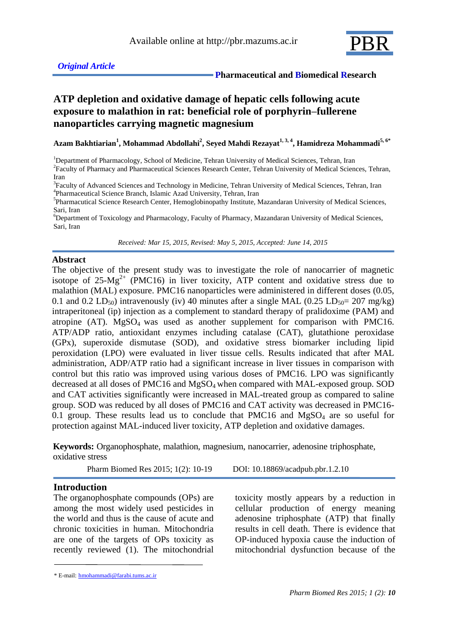

 **Pharmaceutical and Biomedical Research**

# **ATP depletion and oxidative damage of hepatic cells following acute exposure to malathion in rat: beneficial role of porphyrin–fullerene nanoparticles carrying magnetic magnesium**

**Azam Bakhtiarian<sup>1</sup> , Mohammad Abdollahi<sup>2</sup> , Seyed Mahdi Rezayat1, 3, 4 , Hamidreza Mohammadi5, 6\***

<sup>1</sup>Department of Pharmacology, School of Medicine, Tehran University of Medical Sciences, Tehran, Iran <sup>2</sup> Faculty of Pharmacy and Pharmaceutical Sciences Research Center, Tehran University of Medical Sciences, Tehran, Iran

<sup>3</sup> Faculty of Advanced Sciences and Technology in Medicine, Tehran University of Medical Sciences, Tehran, Iran 4 Pharmaceutical Science Branch, Islamic Azad University, Tehran, Iran

<sup>5</sup>Pharmacutical Science Research Center, Hemoglobinopathy Institute, Mazandaran University of Medical Sciences, Sari, Iran

<sup>6</sup>Department of Toxicology and Pharmacology, Faculty of Pharmacy, Mazandaran University of Medical Sciences, Sari, Iran

 *Received: Mar 15, 2015, Revised: May 5, 2015, Accepted: June 14, 2015*

#### **Abstract**

The objective of the present study was to investigate the role of nanocarrier of magnetic isotope of  $25-Mg^{2+}$  (PMC16) in liver toxicity, ATP content and oxidative stress due to malathion (MAL) exposure. PMC16 nanoparticles were administered in different doses (0.05, 0.1 and 0.2 LD<sub>50</sub>) intravenously (iv) 40 minutes after a single MAL (0.25 LD<sub>50</sub>= 207 mg/kg) intraperitoneal (ip) injection as a complement to standard therapy of pralidoxime (PAM) and atropine  $(AT)$ . MgSO<sub>4</sub> was used as another supplement for comparison with PMC16. ATP/ADP ratio, antioxidant enzymes including catalase (CAT), glutathione peroxidase (GPx), superoxide dismutase (SOD), and oxidative stress biomarker including lipid peroxidation (LPO) were evaluated in liver tissue cells. Results indicated that after MAL administration, ADP/ATP ratio had a significant increase in liver tissues in comparison with control but this ratio was improved using various doses of PMC16. LPO was significantly decreased at all doses of PMC16 and MgSO<sub>4</sub> when compared with MAL-exposed group. SOD and CAT activities significantly were increased in MAL-treated group as compared to saline group. SOD was reduced by all doses of PMC16 and CAT activity was decreased in PMC16- 0.1 group. These results lead us to conclude that  $PMC16$  and  $MgSO<sub>4</sub>$  are so useful for protection against MAL-induced liver toxicity, ATP depletion and oxidative damages.

**Keywords:** Organophosphate, malathion, magnesium, nanocarrier, adenosine triphosphate, oxidative stress

Pharm Biomed Res 2015; 1(2): 10-19 DOI: 10.18869/acadpub.pbr.1.2.10

### **Introduction**

The organophosphate compounds (OPs) are among the most widely used pesticides in the world and thus is the cause of acute and chronic toxicities in human. Mitochondria are one of the targets of OPs toxicity as recently reviewed (1). The mitochondrial toxicity mostly appears by a reduction in cellular production of energy meaning adenosine triphosphate (ATP) that finally results in cell death. There is evidence that OP-induced hypoxia cause the induction of mitochondrial dysfunction because of the

<sup>\*</sup> E-mail: [hmohammadi@farabi.tums.ac.ir](mailto:hmohammadi@farabi.tums.ac.ir)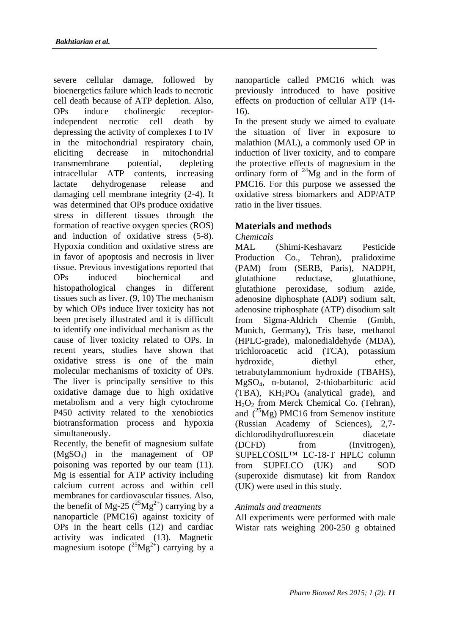severe cellular damage, followed by bioenergetics failure which leads to necrotic cell death because of ATP depletion. Also, OPs induce cholinergic receptorindependent necrotic cell death by depressing the activity of complexes I to IV in the mitochondrial respiratory chain, eliciting decrease in mitochondrial transmembrane potential, depleting intracellular ATP contents, increasing lactate dehydrogenase release and damaging cell membrane integrity (2-4). It was determined that OPs produce oxidative stress in different tissues through the formation of reactive oxygen species (ROS) and induction of oxidative stress (5-8). Hypoxia condition and oxidative stress are in favor of apoptosis and necrosis in liver tissue. Previous investigations reported that OPs induced biochemical and histopathological changes in different tissues such as liver. (9, 10) The mechanism by which OPs induce liver toxicity has not been precisely illustrated and it is difficult to identify one individual mechanism as the cause of liver toxicity related to OPs. In recent years, studies have shown that oxidative stress is one of the main molecular mechanisms of toxicity of OPs. The liver is principally sensitive to this oxidative damage due to high oxidative metabolism and a very high cytochrome P450 activity related to the xenobiotics biotransformation process and hypoxia simultaneously.

Recently, the benefit of magnesium sulfate (MgSO4) in the management of OP poisoning was reported by our team (11). Mg is essential for ATP activity including calcium current across and within cell membranes for cardiovascular tissues. Also, the benefit of Mg-25 ( $^{25}Mg^{2+}$ ) carrying by a nanoparticle (PMC16) against toxicity of OPs in the heart cells (12) and cardiac activity was indicated (13). Magnetic magnesium isotope  $(^{25}Mg^{2+})$  carrying by a nanoparticle called PMC16 which was previously introduced to have positive effects on production of cellular ATP (14- 16).

In the present study we aimed to evaluate the situation of liver in exposure to malathion (MAL), a commonly used OP in induction of liver toxicity, and to compare the protective effects of magnesium in the ordinary form of  $^{24}Mg$  and in the form of PMC16. For this purpose we assessed the oxidative stress biomarkers and ADP/ATP ratio in the liver tissues.

# **Materials and methods**

### *Chemicals*

MAL (Shimi-Keshavarz Pesticide Production Co., Tehran), pralidoxime (PAM) from (SERB, Paris), NADPH, glutathione reductase, glutathione, glutathione peroxidase, sodium azide, adenosine diphosphate (ADP) sodium salt, adenosine triphosphate (ATP) disodium salt from Sigma-Aldrich Chemie (Gmbh, Munich, Germany), Tris base, methanol (HPLC-grade), malonedialdehyde (MDA), trichloroacetic acid (TCA), potassium hydroxide, diethyl ether, tetrabutylammonium hydroxide (TBAHS), MgSO4, n-butanol, 2-thiobarbituric acid (TBA),  $KH_2PO_4$  (analytical grade), and H<sub>2</sub>O<sub>2</sub> from Merck Chemical Co. (Tehran), and ( <sup>25</sup>Mg) PMC16 from Semenov institute (Russian Academy of Sciences), 2,7 dichlorodihydrofluorescein diacetate (DCFD) from (Invitrogen), SUPELCOSIL™ LC-18-T HPLC column from SUPELCO (UK) and SOD (superoxide dismutase) kit from Randox (UK) were used in this study.

# *Animals and treatments*

All experiments were performed with male Wistar rats weighing 200-250 g obtained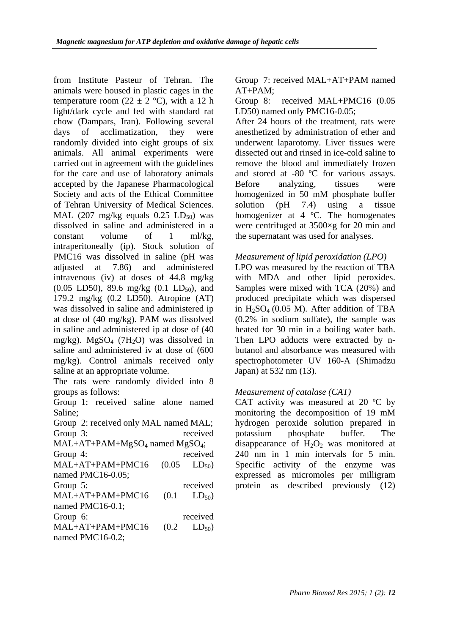from Institute Pasteur of Tehran. The animals were housed in plastic cages in the temperature room (22  $\pm$  2 °C), with a 12 h light/dark cycle and fed with standard rat chow (Dampars, Iran). Following several days of acclimatization, they were randomly divided into eight groups of six animals. All animal experiments were carried out in agreement with the guidelines for the care and use of laboratory animals accepted by the Japanese Pharmacological Society and acts of the Ethical Committee of Tehran University of Medical Sciences. MAL (207 mg/kg equals  $0.25$  LD<sub>50</sub>) was dissolved in saline and administered in a constant volume of 1 ml/kg, intraperitoneally (ip). Stock solution of PMC16 was dissolved in saline (pH was adjusted at 7.86) and administered intravenous (iv) at doses of 44.8 mg/kg  $(0.05 \text{ LD}50), 89.6 \text{ mg/kg}$   $(0.1 \text{ LD}_{50}),$  and 179.2 mg/kg (0.2 LD50). Atropine (AT) was dissolved in saline and administered ip at dose of (40 mg/kg). PAM was dissolved in saline and administered ip at dose of (40 mg/kg). MgSO<sub>4</sub> (7H<sub>2</sub>O) was dissolved in saline and administered iv at dose of (600 mg/kg). Control animals received only saline at an appropriate volume.

The rats were randomly divided into 8 groups as follows:

Group 1: received saline alone named Saline;

Group 2: received only MAL named MAL; Group 3: received  $MAL+AT+PAM+MgSO<sub>4</sub>$  named  $MgSO<sub>4</sub>$ ; Group 4: received  $MAL+AT+PAM+PMC16$  (0.05  $LD_{50}$ ) named PMC16-0.05; Group 5: received  $MAL+AT+PAM+PMC16$  (0.1  $LD_{50}$ ) named PMC16-0.1; Group 6: received  $MAL+AT+PAM+PMC16$  (0.2  $LD_{50}$ ) named PMC16-0.2;

Group 7: received MAL+AT+PAM named AT+PAM;

Group 8: received MAL+PMC16 (0.05 LD50) named only PMC16-0.05;

After 24 hours of the treatment, rats were anesthetized by administration of ether and underwent laparotomy. Liver tissues were dissected out and rinsed in ice-cold saline to remove the blood and immediately frozen and stored at -80 ºC for various assays. Before analyzing, tissues were homogenized in 50 mM phosphate buffer solution (pH 7.4) using a tissue homogenizer at 4 ºC. The homogenates were centrifuged at 3500×g for 20 min and the supernatant was used for analyses.

### *Measurement of lipid peroxidation (LPO)*

LPO was measured by the reaction of TBA with MDA and other lipid peroxides. Samples were mixed with TCA (20%) and produced precipitate which was dispersed in  $H<sub>2</sub>SO<sub>4</sub>$  (0.05 M). After addition of TBA (0.2% in sodium sulfate), the sample was heated for 30 min in a boiling water bath. Then LPO adducts were extracted by nbutanol and absorbance was measured with spectrophotometer UV 160-A (Shimadzu Japan) at 532 nm (13).

### *Measurement of catalase (CAT)*

CAT activity was measured at 20 ºC by monitoring the decomposition of 19 mM hydrogen peroxide solution prepared in potassium phosphate buffer. The disappearance of  $H_2O_2$  was monitored at 240 nm in 1 min intervals for 5 min. Specific activity of the enzyme was expressed as micromoles per milligram protein as described previously (12)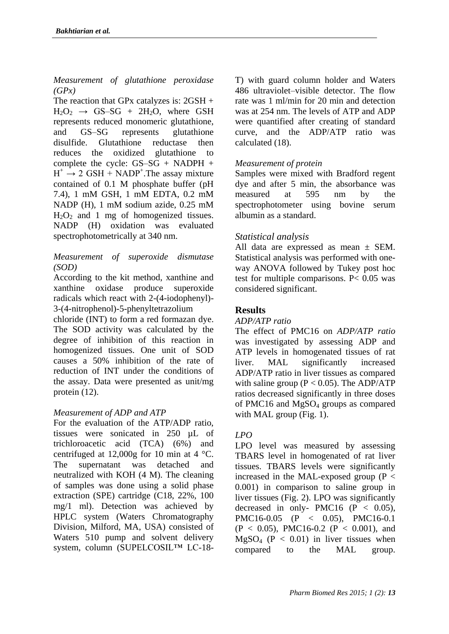*Measurement of glutathione peroxidase (GPx)*

The reaction that GPx catalyzes is: 2GSH +  $H_2O_2 \rightarrow$  GS–SG + 2H<sub>2</sub>O, where GSH represents reduced [monomeric](http://en.wikipedia.org/wiki/Monomer) glutathione, and GS–SG represents glutathione disulfide. Glutathione reductase then reduces the oxidized glutathione to complete the cycle:  $GS-SG + NADPH +$  $H^+ \rightarrow 2$  GSH + NADP<sup>+</sup>. The assay mixture contained of 0.1 M phosphate buffer (pH 7.4), 1 mM GSH, 1 mM EDTA, 0.2 mM NADP (H), 1 mM sodium azide, 0.25 mM  $H_2O_2$  and 1 mg of homogenized tissues. NADP (H) oxidation was evaluated spectrophotometrically at 340 nm.

# *Measurement of superoxide dismutase (SOD)*

According to the kit method, xanthine and xanthine oxidase produce superoxide radicals which react with 2-(4-iodophenyl)- 3-(4-nitrophenol)-5-phenyltetrazolium

chloride (INT) to form a red formazan dye. The SOD activity was calculated by the degree of inhibition of this reaction in homogenized tissues. One unit of SOD causes a 50% inhibition of the rate of reduction of INT under the conditions of the assay. Data were presented as unit/mg protein (12).

# *Measurement of ADP and ATP*

For the evaluation of the ATP/ADP ratio, tissues were sonicated in 250 µL of trichloroacetic acid (TCA) (6%) and centrifuged at 12,000g for 10 min at 4 °C. The supernatant was detached and neutralized with KOH (4 M). The cleaning of samples was done using a solid phase extraction (SPE) cartridge (C18, 22%, 100 mg/1 ml). Detection was achieved by HPLC system (Waters Chromatography Division, Milford, MA, USA) consisted of Waters 510 pump and solvent delivery system, column (SUPELCOSIL™ LC-18T) with guard column holder and Waters 486 ultraviolet–visible detector. The flow rate was 1 ml/min for 20 min and detection was at 254 nm. The levels of ATP and ADP were quantified after creating of standard curve, and the ADP/ATP ratio was calculated (18).

## *Measurement of protein*

Samples were mixed with Bradford regent dye and after 5 min, the absorbance was measured at 595 nm by the spectrophotometer using bovine serum albumin as a standard.

# *Statistical analysis*

All data are expressed as mean ± SEM. Statistical analysis was performed with oneway ANOVA followed by Tukey post hoc test for multiple comparisons.  $P < 0.05$  was considered significant.

## **Results**

#### *ADP/ATP ratio*

The effect of PMC16 on *ADP/ATP ratio*  was investigated by assessing ADP and ATP levels in homogenated tissues of rat liver. MAL significantly increased ADP/ATP ratio in liver tissues as compared with saline group ( $P < 0.05$ ). The ADP/ATP ratios decreased significantly in three doses of PMC16 and MgSO<sup>4</sup> groups as compared with MAL group (Fig. 1).

# *LPO*

LPO level was measured by assessing TBARS level in homogenated of rat liver tissues. TBARS levels were significantly increased in the MAL-exposed group  $(P <$ 0.001) in comparison to saline group in liver tissues (Fig. 2). LPO was significantly decreased in only- PMC16  $(P < 0.05)$ , PMC16-0.05 (P < 0.05), PMC16-0.1  $(P < 0.05)$ , PMC16-0.2  $(P < 0.001)$ , and  $MgSO<sub>4</sub>$  (P < 0.01) in liver tissues when compared to the MAL group.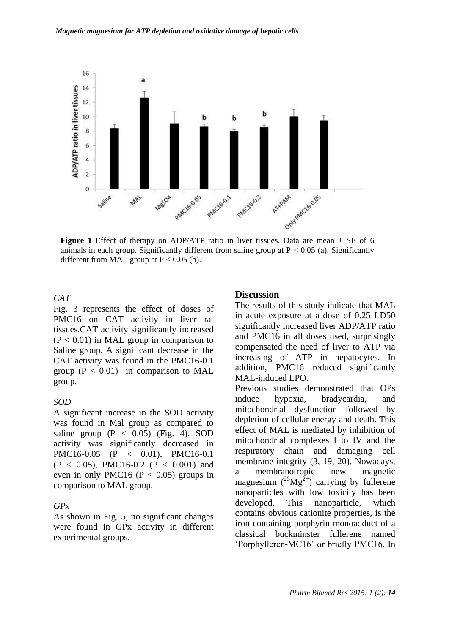

**Figure 1** Effect of therapy on ADP/ATP ratio in liver tissues. Data are mean  $\pm$  SE of 6 animals in each group. Significantly different from saline group at  $P < 0.05$  (a). Significantly different from MAL group at  $P < 0.05$  (b).

#### *CAT*

Fig. 3 represents the effect of doses of PMC16 on CAT activity in liver rat tissues.CAT activity significantly increased  $(P < 0.01)$  in MAL group in comparison to Saline group. A significant decrease in the CAT activity was found in the PMC16-0.1 group  $(P < 0.01)$  in comparison to MAL group.

#### *SOD*

A significant increase in the SOD activity was found in Mal group as compared to saline group  $(P < 0.05)$  (Fig. 4). SOD activity was significantly decreased in PMC16-0.05 (P < 0.01), PMC16-0.1  $(P < 0.05)$ , PMC16-0.2  $(P < 0.001)$  and even in only PMC16 ( $P < 0.05$ ) groups in comparison to MAL group.

#### *GPx*

As shown in Fig. 5, no significant changes were found in GPx activity in different experimental groups.

#### **Discussion**

The results of this study indicate that MAL in acute exposure at a dose of 0.25 LD50 significantly increased liver ADP/ATP ratio and PMC16 in all doses used, surprisingly compensated the need of liver to ATP via increasing of ATP in hepatocytes. In addition, PMC16 reduced significantly MAL-induced LPO.

Previous studies demonstrated that OPs induce hypoxia, bradycardia, and mitochondrial dysfunction followed by depletion of cellular energy and death. This effect of MAL is mediated by inhibition of mitochondrial complexes I to IV and the respiratory chain and damaging cell membrane integrity (3, 19, 20). Nowadays, a membranotropic new magnetic magnesium  $(^{25}Mg^{2+})$  carrying by fullerene nanoparticles with low toxicity has been developed. This nanoparticle, which contains obvious cationite properties, is the iron containing porphyrin monoadduct of a classical buckminster fullerene named 'Porphylleren-MC16' or briefly PMC16. In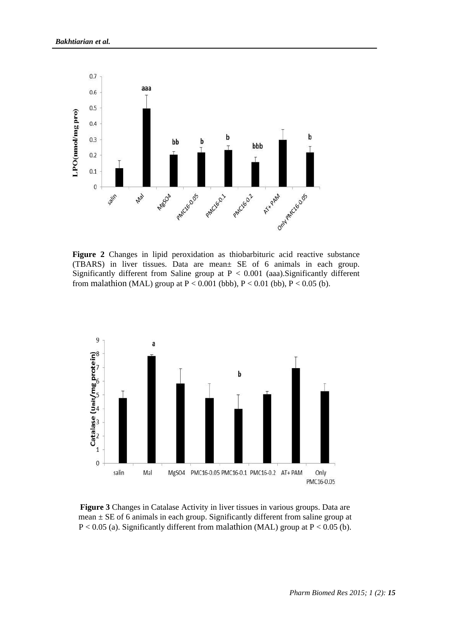

**Figure 2** Changes in lipid peroxidation as thiobarbituric acid reactive substance (TBARS) in liver tissues. Data are mean± SE of 6 animals in each group. Significantly different from Saline group at  $P < 0.001$  (aaa). Significantly different from malathion (MAL) group at  $P < 0.001$  (bbb),  $P < 0.01$  (bb),  $P < 0.05$  (b).



**Figure 3** Changes in Catalase Activity in liver tissues in various groups. Data are mean ± SE of 6 animals in each group. Significantly different from saline group at  $P < 0.05$  (a). Significantly different from malathion (MAL) group at  $P < 0.05$  (b).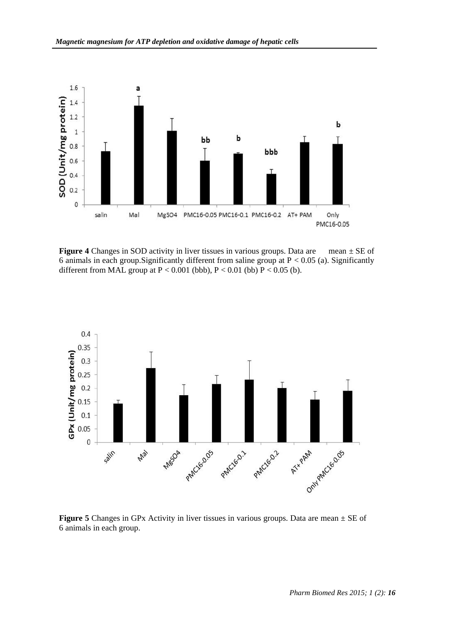

**Figure 4** Changes in SOD activity in liver tissues in various groups. Data are mean  $\pm$  SE of 6 animals in each group. Significantly different from saline group at  $P < 0.05$  (a). Significantly different from MAL group at  $P < 0.001$  (bbb),  $P < 0.01$  (bb)  $P < 0.05$  (b).



**Figure 5** Changes in GPx Activity in liver tissues in various groups. Data are mean  $\pm$  SE of 6 animals in each group.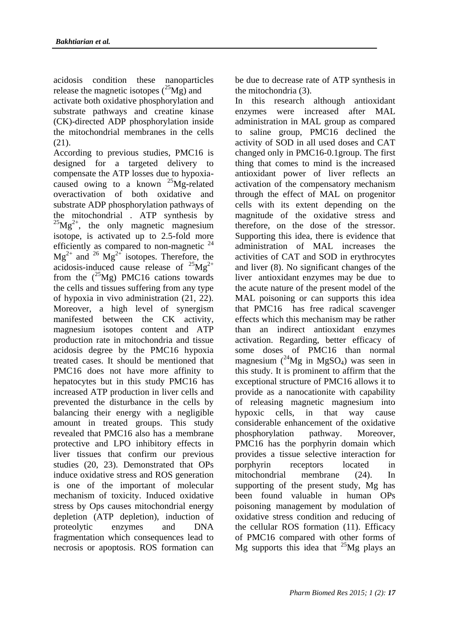acidosis condition these nanoparticles release the magnetic isotopes  $(^{25}Mg)$  and activate both oxidative phosphorylation and substrate pathways and creatine kinase (CK)-directed ADP phosphorylation inside the mitochondrial membranes in the cells (21).

According to previous studies, PMC16 is designed for a targeted delivery to compensate the ATP losses due to hypoxiacaused owing to a known  $^{25}$ Mg-related overactivation of both oxidative and substrate ADP phosphorylation pathways of the mitochondrial . ATP synthesis by  $^{25}Mg^{2+}$ , the only magnetic magnesium isotope, is activated up to 2.5-fold more efficiently as compared to non-magnetic  $24$  $Mg^{2+}$  and <sup>26</sup>  $Mg^{2+}$  isotopes. Therefore, the acidosis-induced cause release of  $^{25}Mg^{2+}$ from the  $(^{25}Mg)$  PMC16 cations towards the cells and tissues suffering from any type of hypoxia in vivo administration (21, 22). Moreover, a high level of synergism manifested between the CK activity, magnesium isotopes content and ATP production rate in mitochondria and tissue acidosis degree by the PMC16 hypoxia treated cases. It should be mentioned that PMC16 does not have more affinity to hepatocytes but in this study PMC16 has increased ATP production in liver cells and prevented the disturbance in the cells by balancing their energy with a negligible amount in treated groups. This study revealed that PMC16 also has a membrane protective and LPO inhibitory effects in liver tissues that confirm our previous studies (20, 23). Demonstrated that OPs induce oxidative stress and ROS generation is one of the important of molecular mechanism of toxicity. Induced oxidative stress by Ops causes mitochondrial energy depletion (ATP depletion), induction of proteolytic enzymes and DNA fragmentation which consequences lead to necrosis or apoptosis. ROS formation can be due to decrease rate of ATP synthesis in the mitochondria (3).

In this research although antioxidant enzymes were increased after MAL administration in MAL group as compared to saline group, PMC16 declined the activity of SOD in all used doses and CAT changed only in PMC16-0.1group. The first thing that comes to mind is the increased antioxidant power of liver reflects an activation of the compensatory mechanism through the effect of MAL on progenitor cells with its extent depending on the magnitude of the oxidative stress and therefore, on the dose of the stressor. Supporting this idea, there is evidence that administration of MAL increases the activities of CAT and SOD in erythrocytes and liver (8). No significant changes of the liver antioxidant enzymes may be due to the acute nature of the present model of the MAL poisoning or can supports this idea that PMC16 has free radical scavenger effects which this mechanism may be rather than an indirect antioxidant enzymes activation. Regarding, better efficacy of some doses of PMC16 than normal magnesium  $(^{24}Mg$  in MgSO<sub>4</sub>) was seen in this study. It is prominent to affirm that the exceptional structure of PMC16 allows it to provide as a nanocationite with capability of releasing magnetic magnesium into hypoxic cells, in that way cause considerable enhancement of the oxidative phosphorylation pathway. Moreover, PMC16 has the porphyrin domain which provides a tissue selective interaction for porphyrin receptors located in mitochondrial membrane (24). In supporting of the present study, Mg has been found valuable in human OPs poisoning management by modulation of oxidative stress condition and reducing of the cellular ROS formation (11). Efficacy of PMC16 compared with other forms of Mg supports this idea that  $25$ Mg plays an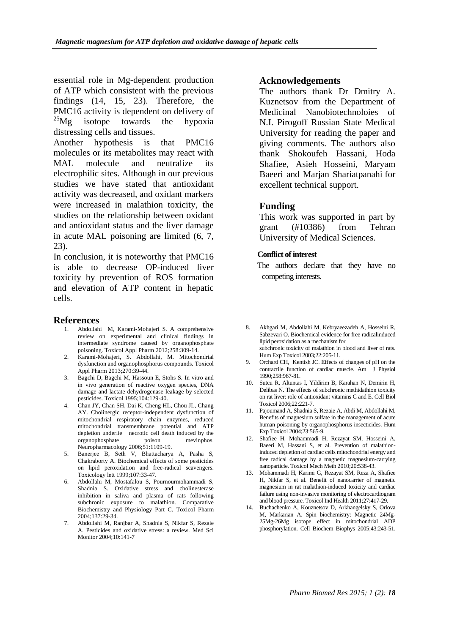essential role in Mg-dependent production of ATP which consistent with the previous findings (14, 15, 23). Therefore, the PMC16 activity is dependent on delivery of  $^{25}$ Mg isotope towards the hypoxia distressing cells and tissues.

Another hypothesis is that PMC16 molecules or its metabolites may react with MAL molecule and neutralize its electrophilic sites. Although in our previous studies we have stated that antioxidant activity was decreased, and oxidant markers were increased in malathion toxicity, the studies on the relationship between oxidant and antioxidant status and the liver damage in acute MAL poisoning are limited (6, 7, 23).

In conclusion, it is noteworthy that PMC16 is able to decrease OP-induced liver toxicity by prevention of ROS formation and elevation of ATP content in hepatic cells.

### **References**

- 1. Abdollahi M, Karami-Mohajeri S. A comprehensive review on experimental and clinical findings in intermediate syndrome caused by organophosphate poisoning. Toxicol Appl Pharm 2012;258:309-14.
- 2. Karami-Mohajeri, S. Abdollahi, M. Mitochondrial dysfunction and organophosphorus compounds. Toxicol Appl Pharm 2013;270:39-44.
- 3. Bagchi D, Bagchi M, Hassoun E, Stohs S. In vitro and in vivo generation of reactive oxygen species, DNA damage and lactate dehydrogenase leakage by selected pesticides. Toxicol 1995;104:129-40.
- 4. Chan JY, Chan SH, Dai K, Cheng HL, Chou JL, Chang AY. Cholinergic receptor-independent dysfunction of mitochondrial respiratory chain enzymes, reduced mitochondrial transmembrane potential and ATP depletion underlie necrotic cell death induced by the organophosphate poison mevinphos. organophosphate Neuropharmacology 2006;51:1109-19.
- 5. Banerjee B, Seth V, Bhattacharya A, Pasha S, Chakraborty A. Biochemical effects of some pesticides on lipid peroxidation and free-radical scavengers. Toxicology lett 1999;107:33-47.
- 6. Abdollahi M, Mostafalou S, Pournourmohammadi S, Shadnia S. Oxidative stress and cholinesterase inhibition in saliva and plasma of rats following subchronic exposure to malathion. Comparative Biochemistry and Physiology Part C. Toxicol Pharm  $2004:137:29-34$
- 7. Abdollahi M, Ranjbar A, Shadnia S, Nikfar S, Rezaie A. Pesticides and oxidative stress: a review. Med Sci Monitor 2004;10:141-7

### **Acknowledgements**

The authors thank Dr Dmitry A. Kuznetsov from the Department of Medicinal Nanobiotechnoloies of N.I. Pirogoff Russian State Medical University for reading the paper and giving comments. The authors also thank Shokoufeh Hassani, Hoda Shafiee, Asieh Hosseini, Maryam Baeeri and Marjan Shariatpanahi for excellent technical support.

## **Funding**

This work was supported in part by grant (#10386) from Tehran University of Medical Sciences.

#### **Conflict of interest**

 The authors declare that they have no competing interests.

- 8. Akhgari M, Abdollahi M, Kebryaeezadeh A, Hosseini R, Sabzevari O. Biochemical evidence for free radicalinduced lipid peroxidation as a mechanism for subchronic toxicity of malathion in blood and liver of rats. Hum Exp Toxicol 2003;22:205-11.
- 9. Orchard CH, Kentish JC. Effects of changes of pH on the contractile function of cardiac muscle. Am J Physiol 1990;258:967-81.
- 10. Sutcu R, Altuntas I, Yildirim B, Karahan N, Demirin H, Delibas N. The effects of subchronic methidathion toxicity on rat liver: role of antioxidant vitamins C and E. Cell Biol Toxicol 2006;22:221-7.
- 11. Pajoumand A, Shadnia S, Rezaie A, Abdi M, Abdollahi M. Benefits of magnesium sulfate in the management of acute human poisoning by organophosphorus insecticides. Hum Exp Toxicol 2004;23:565-9.
- 12. Shafiee H, Mohammadi H, Rezayat SM, Hosseini A, Baeeri M, Hassani S, et al. Prevention of malathioninduced depletion of cardiac cells mitochondrial energy and free radical damage by a magnetic magnesium-carrying nanoparticle. Toxicol Mech Meth 2010;20:538-43.
- 13. Mohammadi H, Karimi G, Rezayat SM, Reza A, Shafiee H, Nikfar S, et al. Benefit of nanocarrier of magnetic magnesium in rat malathion-induced toxicity and cardiac failure using non-invasive monitoring of electrocardiogram and blood pressure. Toxicol Ind Health 2011;27:417-29.
- 14. Buchachenko A, Kouznetsov D, Arkhangelsky S, Orlova M, Markarian A. Spin biochemistry: Magnetic 24Mg-25Mg-26Mg isotope effect in mitochondrial ADP phosphorylation. Cell Biochem Biophys 2005;43:243-51.